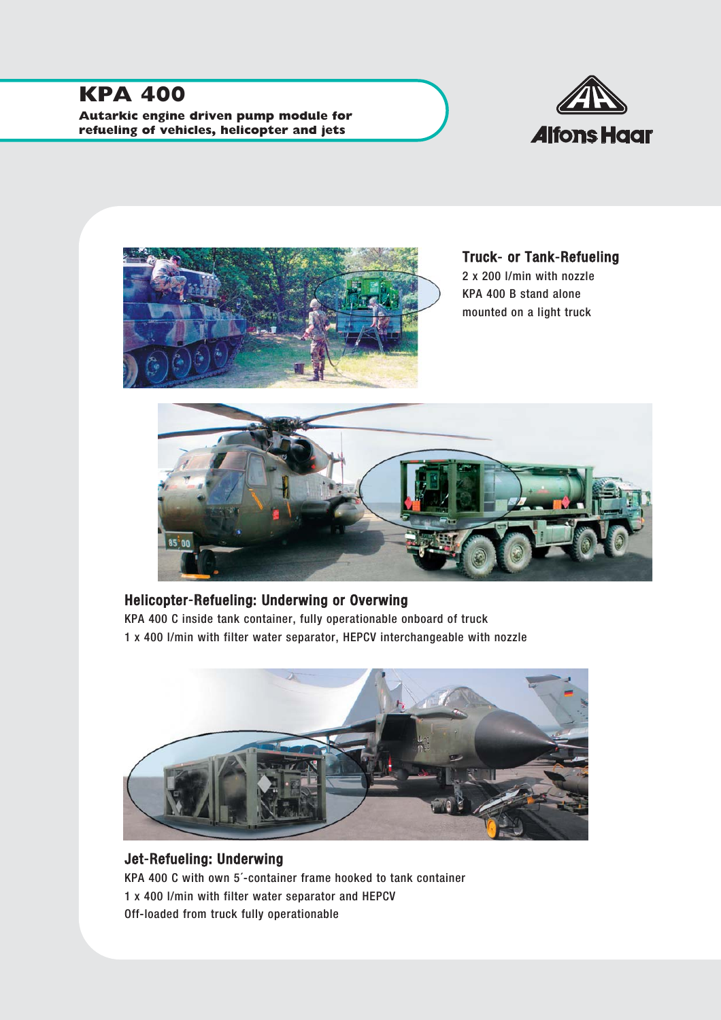# **KPA 400**

**Autarkic engine driven pump module for refueling of vehicles, helicopter and jets**





Truck-or Tank-Refueling 2 x 200 l/min with nozzle KPA 400 B stand alone mounted on a light truck



# Helicopter-Refueling: Underwing or Overwing

KPA 400 C inside tank container, fully operationable onboard of truck 1 x 400 l/min with filter water separator, HEPCV interchangeable with nozzle



### Jet-Refueling: Underwing KPA 400 C with own 5´-container frame hooked to tank container 1 x 400 l/min with filter water separator and HEPCV Off-loaded from truck fully operationable